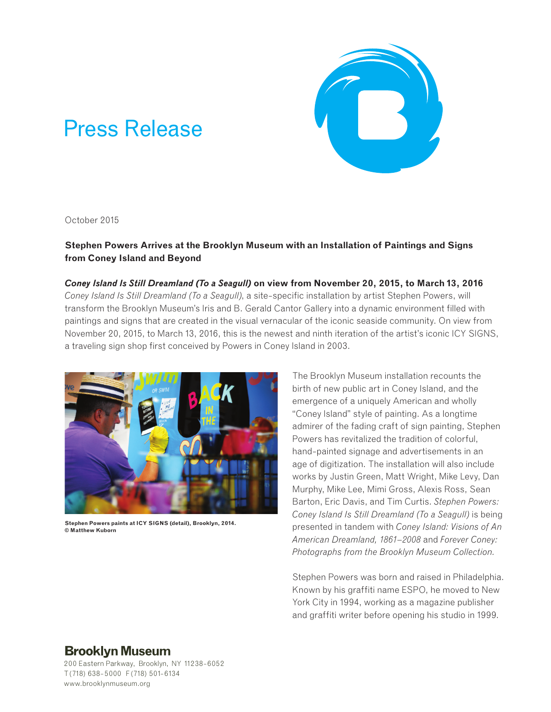# Press Release



October 2015

**Stephen Powers Arrives at the Brooklyn Museum with an Installation of Paintings and Signs from Coney Island and Beyond**

*Coney Island Is Still Dreamland (To a Seagull)* **on view from November 20, 2015, to March 13, 2016** *Coney Island Is Still Dreamland (To a Seagull)*, a site-specific installation by artist Stephen Powers, will transform the Brooklyn Museum's Iris and B. Gerald Cantor Gallery into a dynamic environment filled with paintings and signs that are created in the visual vernacular of the iconic seaside community. On view from November 20, 2015, to March 13, 2016, this is the newest and ninth iteration of the artist's iconic ICY SIGNS, a traveling sign shop first conceived by Powers in Coney Island in 2003.



**Stephen Powers paints at ICY SIGNS (detail), Brooklyn, 2014. © Matthew Kuborn**

The Brooklyn Museum installation recounts the birth of new public art in Coney Island, and the emergence of a uniquely American and wholly "Coney Island" style of painting. As a longtime admirer of the fading craft of sign painting, Stephen Powers has revitalized the tradition of colorful, hand-painted signage and advertisements in an age of digitization. The installation will also include works by Justin Green, Matt Wright, Mike Levy, Dan Murphy, Mike Lee, Mimi Gross, Alexis Ross, Sean Barton, Eric Davis, and Tim Curtis. *Stephen Powers: Coney Island Is Still Dreamland (To a Seagull)* is being presented in tandem with *Coney Island: Visions of An American Dreamland, 1861–2008* and *Forever Coney: Photographs from the Brooklyn Museum Collection.* 

Stephen Powers was born and raised in Philadelphia. Known by his graffiti name ESPO, he moved to New York City in 1994, working as a magazine publisher and graffiti writer before opening his studio in 1999.

## **Brooklyn Museum**

200 Eastern Parkway, Brooklyn, NY 11238-6052 T (718) 638-5000 F (718) 501-6134 www.brooklynmuseum.org